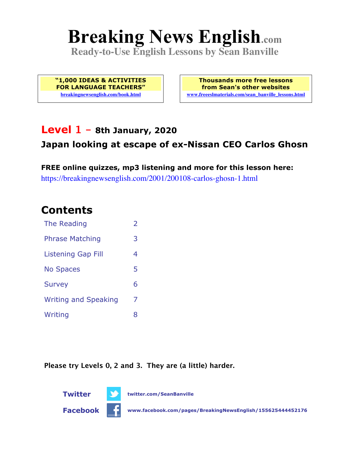# **Breaking News English.com**

**Ready-to-Use English Lessons by Sean Banville**

**"1,000 IDEAS & ACTIVITIES FOR LANGUAGE TEACHERS" breakingnewsenglish.com/book.html**

**Thousands more free lessons from Sean's other websites www.freeeslmaterials.com/sean\_banville\_lessons.html**

### **Level 1 - 8th January, 2020**

### **Japan looking at escape of ex-Nissan CEO Carlos Ghosn**

**FREE online quizzes, mp3 listening and more for this lesson here:** https://breakingnewsenglish.com/2001/200108-carlos-ghosn-1.html

### **Contents**

| The Reading                 | $\overline{\phantom{a}}$ |
|-----------------------------|--------------------------|
| <b>Phrase Matching</b>      | 3                        |
| <b>Listening Gap Fill</b>   | 4                        |
| <b>No Spaces</b>            | 5                        |
| <b>Survey</b>               | 6                        |
| <b>Writing and Speaking</b> | 7                        |
| Writing                     | 8                        |

**Please try Levels 0, 2 and 3. They are (a little) harder.**

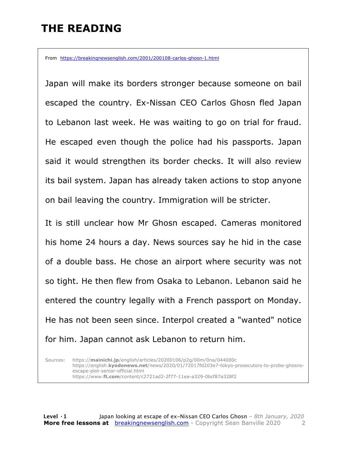# **THE READING**

From https://breakingnewsenglish.com/2001/200108-carlos-ghosn-1.html

Japan will make its borders stronger because someone on bail escaped the country. Ex-Nissan CEO Carlos Ghosn fled Japan to Lebanon last week. He was waiting to go on trial for fraud. He escaped even though the police had his passports. Japan said it would strengthen its border checks. It will also review its bail system. Japan has already taken actions to stop anyone on bail leaving the country. Immigration will be stricter.

It is still unclear how Mr Ghosn escaped. Cameras monitored his home 24 hours a day. News sources say he hid in the case of a double bass. He chose an airport where security was not so tight. He then flew from Osaka to Lebanon. Lebanon said he entered the country legally with a French passport on Monday. He has not been seen since. Interpol created a "wanted" notice for him. Japan cannot ask Lebanon to return him.

Sources: https://**mainichi.jp**/english/articles/20200106/p2g/00m/0na/044000c https://english.**kyodonews.net**/news/2020/01/72017fd203e7-tokyo-prosecutors-to-probe-ghosnsescape-plot-senior-official.html https://www.**ft.com**/content/c2721ad2-2f77-11ea-a329-0bcf87a328f2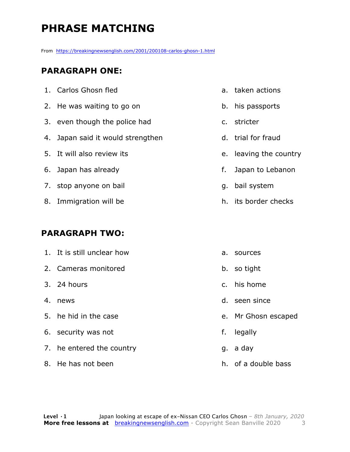# **PHRASE MATCHING**

From https://breakingnewsenglish.com/2001/200108-carlos-ghosn-1.html

#### **PARAGRAPH ONE:**

| 1. Carlos Ghosn fled              |    | a. taken actions       |
|-----------------------------------|----|------------------------|
| 2. He was waiting to go on        |    | b. his passports       |
| 3. even though the police had     |    | c. stricter            |
| 4. Japan said it would strengthen |    | d. trial for fraud     |
| 5. It will also review its        |    | e. leaving the country |
| 6. Japan has already              | f. | Japan to Lebanon       |
| 7. stop anyone on bail            |    | g. bail system         |
| 8. Immigration will be            |    | h. its border checks   |
|                                   |    |                        |

#### **PARAGRAPH TWO:**

| 1. It is still unclear how | а. | sources             |
|----------------------------|----|---------------------|
| 2. Cameras monitored       |    | b. so tight         |
| 3. 24 hours                |    | c. his home         |
| 4. news                    |    | d. seen since       |
| 5. he hid in the case      |    | e. Mr Ghosn escaped |
| 6. security was not        | f. | legally             |
| 7. he entered the country  |    | g. a day            |
| 8. He has not been         |    | h. of a double bass |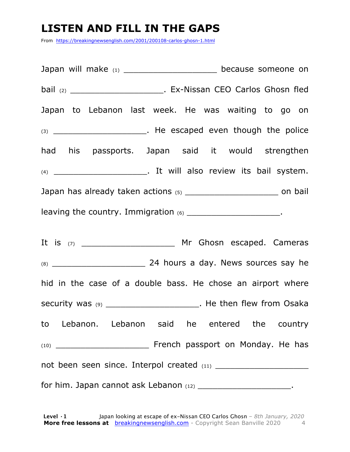## **LISTEN AND FILL IN THE GAPS**

From https://breakingnewsenglish.com/2001/200108-carlos-ghosn-1.html

Japan will make (1) discussed because someone on bail (2) \_\_\_\_\_\_\_\_\_\_\_\_\_\_\_\_\_\_\_\_\_\_\_\_\_\_. Ex-Nissan CEO Carlos Ghosn fled Japan to Lebanon last week. He was waiting to go on (3) \_\_\_\_\_\_\_\_\_\_\_\_\_\_\_\_\_\_\_\_\_\_\_\_. He escaped even though the police had his passports. Japan said it would strengthen (4) \_\_\_\_\_\_\_\_\_\_\_\_\_\_\_\_\_\_\_. It will also review its bail system. Japan has already taken actions (5) \_\_\_\_\_\_\_\_\_\_\_\_\_\_\_\_\_\_\_ on bail leaving the country. Immigration  $(6)$ 

It is (7) \_\_\_\_\_\_\_\_\_\_\_\_\_\_\_\_\_\_\_ Mr Ghosn escaped. Cameras (8) \_\_\_\_\_\_\_\_\_\_\_\_\_\_\_\_\_\_\_ 24 hours a day. News sources say he hid in the case of a double bass. He chose an airport where security was (9) \_\_\_\_\_\_\_\_\_\_\_\_\_\_\_\_\_\_\_\_\_\_\_. He then flew from Osaka to Lebanon. Lebanon said he entered the country (10) \_\_\_\_\_\_\_\_\_\_\_\_\_\_\_\_\_\_\_ French passport on Monday. He has not been seen since. Interpol created (11) \_\_\_\_\_\_\_\_\_\_\_\_\_\_\_\_\_\_\_ for him. Japan cannot ask Lebanon  $(12)$  \_\_\_\_\_\_\_\_\_\_\_\_\_\_\_\_\_\_\_\_\_\_\_.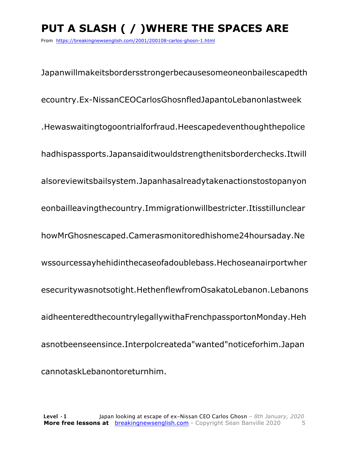# **PUT A SLASH ( / )WHERE THE SPACES ARE**

From https://breakingnewsenglish.com/2001/200108-carlos-ghosn-1.html

Japanwillmakeitsbordersstrongerbecausesomeoneonbailescapedth ecountry.Ex-NissanCEOCarlosGhosnfledJapantoLebanonlastweek .Hewaswaitingtogoontrialforfraud.Heescapedeventhoughthepolice hadhispassports.Japansaiditwouldstrengthenitsborderchecks.Itwill alsoreviewitsbailsystem.Japanhasalreadytakenactionstostopanyon eonbailleavingthecountry.Immigrationwillbestricter.Itisstillunclear howMrGhosnescaped.Camerasmonitoredhishome24hoursaday.Ne wssourcessayhehidinthecaseofadoublebass.Hechoseanairportwher esecuritywasnotsotight.HethenflewfromOsakatoLebanon.Lebanons aidheenteredthecountrylegallywithaFrenchpassportonMonday.Heh asnotbeenseensince.Interpolcreateda"wanted"noticeforhim.Japan cannotaskLebanontoreturnhim.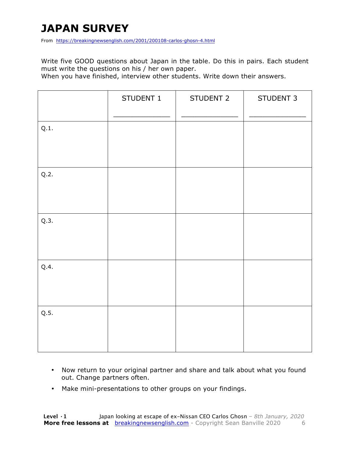# **JAPAN SURVEY**

From https://breakingnewsenglish.com/2001/200108-carlos-ghosn-4.html

Write five GOOD questions about Japan in the table. Do this in pairs. Each student must write the questions on his / her own paper.

When you have finished, interview other students. Write down their answers.

|      | STUDENT 1 | STUDENT 2 | STUDENT 3 |
|------|-----------|-----------|-----------|
| Q.1. |           |           |           |
| Q.2. |           |           |           |
| Q.3. |           |           |           |
| Q.4. |           |           |           |
| Q.5. |           |           |           |

- Now return to your original partner and share and talk about what you found out. Change partners often.
- Make mini-presentations to other groups on your findings.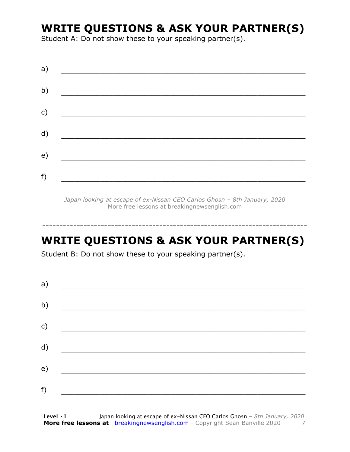### **WRITE QUESTIONS & ASK YOUR PARTNER(S)**

Student A: Do not show these to your speaking partner(s).

| a) |  |  |
|----|--|--|
| b) |  |  |
| c) |  |  |
| d) |  |  |
| e) |  |  |
| f) |  |  |

*Japan looking at escape of ex-Nissan CEO Carlos Ghosn – 8th January, 2020* More free lessons at breakingnewsenglish.com

### **WRITE QUESTIONS & ASK YOUR PARTNER(S)**

-----------------------------------------------------------------------------

Student B: Do not show these to your speaking partner(s).

| a) |  |  |
|----|--|--|
| b) |  |  |
| c) |  |  |
| d) |  |  |
| e) |  |  |
| f) |  |  |
|    |  |  |

**Level ·1** Japan looking at escape of ex-Nissan CEO Carlos Ghosn *– 8th January, 2020* **More free lessons at** breakingnewsenglish.com - Copyright Sean Banville 2020 7